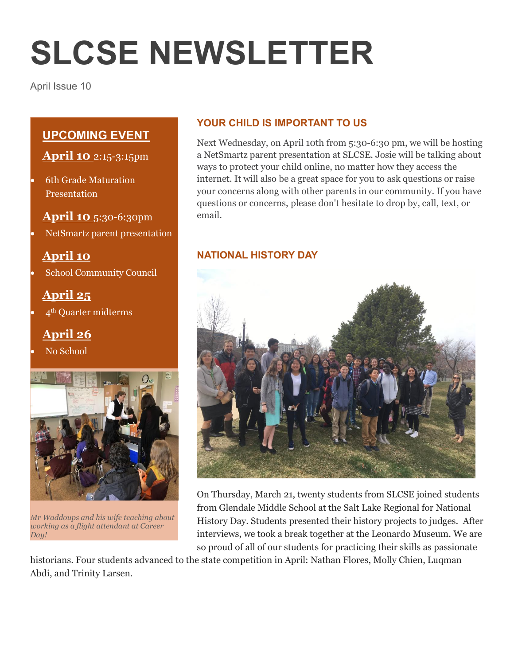# **SLCSE NEWSLETTER**

April Issue 10

## **UPCOMING EVENT**

## **April 10** 2:15-3:15pm

 6th Grade Maturation Presentation

## **April 10** 5:30-6:30pm

NetSmartz parent presentation

# **April 10**

School Community Council

# **April 25**

4th Quarter midterms

# **April 26**

No School



*Mr Waddoups and his wife teaching about working as a flight attendant at Career Day!*

## **YOUR CHILD IS IMPORTANT TO US**

Next Wednesday, on April 10th from 5:30-6:30 pm, we will be hosting a NetSmartz parent presentation at SLCSE. Josie will be talking about ways to protect your child online, no matter how they access the internet. It will also be a great space for you to ask questions or raise your concerns along with other parents in our community. If you have questions or concerns, please don't hesitate to drop by, call, text, or email.

## **NATIONAL HISTORY DAY**



On Thursday, March 21, twenty students from SLCSE joined students from Glendale Middle School at the Salt Lake Regional for National History Day. Students presented their history projects to judges. After interviews, we took a break together at the Leonardo Museum. We are so proud of all of our students for practicing their skills as passionate

historians. Four students advanced to the state competition in April: Nathan Flores, Molly Chien, Luqman Abdi, and Trinity Larsen.